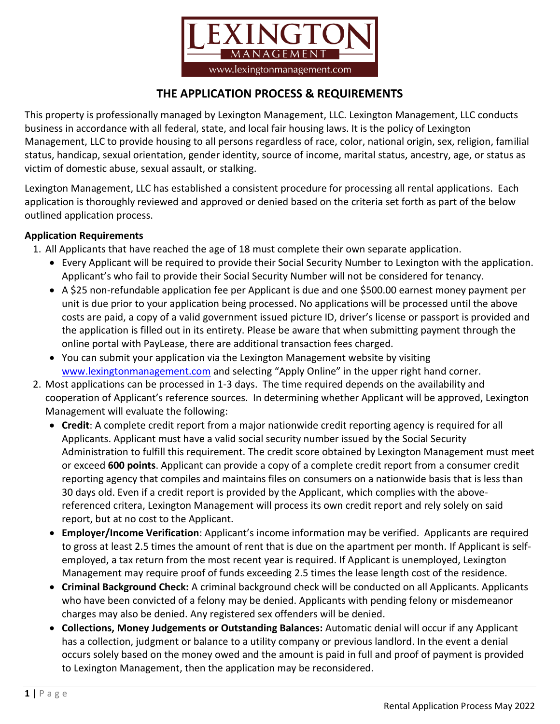

## **THE APPLICATION PROCESS & REQUIREMENTS**

This property is professionally managed by Lexington Management, LLC. Lexington Management, LLC conducts business in accordance with all federal, state, and local fair housing laws. It is the policy of Lexington Management, LLC to provide housing to all persons regardless of race, color, national origin, sex, religion, familial status, handicap, sexual orientation, gender identity, source of income, marital status, ancestry, age, or status as victim of domestic abuse, sexual assault, or stalking.

Lexington Management, LLC has established a consistent procedure for processing all rental applications. Each application is thoroughly reviewed and approved or denied based on the criteria set forth as part of the below outlined application process.

## **Application Requirements**

- 1. All Applicants that have reached the age of 18 must complete their own separate application.
	- Every Applicant will be required to provide their Social Security Number to Lexington with the application. Applicant's who fail to provide their Social Security Number will not be considered for tenancy.
	- A \$25 non-refundable application fee per Applicant is due and one \$500.00 earnest money payment per unit is due prior to your application being processed. No applications will be processed until the above costs are paid, a copy of a valid government issued picture ID, driver's license or passport is provided and the application is filled out in its entirety. Please be aware that when submitting payment through the online portal with PayLease, there are additional transaction fees charged.
	- You can submit your application via the Lexington Management website by visiting [www.lexingtonmanagement.com](http://www.lexingtonmanagement.com/) and selecting "Apply Online" in the upper right hand corner.
- 2. Most applications can be processed in 1-3 days. The time required depends on the availability and cooperation of Applicant's reference sources. In determining whether Applicant will be approved, Lexington Management will evaluate the following:
	- **Credit**: A complete credit report from a major nationwide credit reporting agency is required for all Applicants. Applicant must have a valid social security number issued by the Social Security Administration to fulfill this requirement. The credit score obtained by Lexington Management must meet or exceed **600 points**. Applicant can provide a copy of a complete credit report from a consumer credit reporting agency that compiles and maintains files on consumers on a nationwide basis that is less than 30 days old. Even if a credit report is provided by the Applicant, which complies with the abovereferenced critera, Lexington Management will process its own credit report and rely solely on said report, but at no cost to the Applicant.
	- **Employer/Income Verification**: Applicant's income information may be verified. Applicants are required to gross at least 2.5 times the amount of rent that is due on the apartment per month. If Applicant is selfemployed, a tax return from the most recent year is required. If Applicant is unemployed, Lexington Management may require proof of funds exceeding 2.5 times the lease length cost of the residence.
	- **Criminal Background Check:** A criminal background check will be conducted on all Applicants. Applicants who have been convicted of a felony may be denied. Applicants with pending felony or misdemeanor charges may also be denied. Any registered sex offenders will be denied.
	- **Collections, Money Judgements or Outstanding Balances:** Automatic denial will occur if any Applicant has a collection, judgment or balance to a utility company or previous landlord. In the event a denial occurs solely based on the money owed and the amount is paid in full and proof of payment is provided to Lexington Management, then the application may be reconsidered.